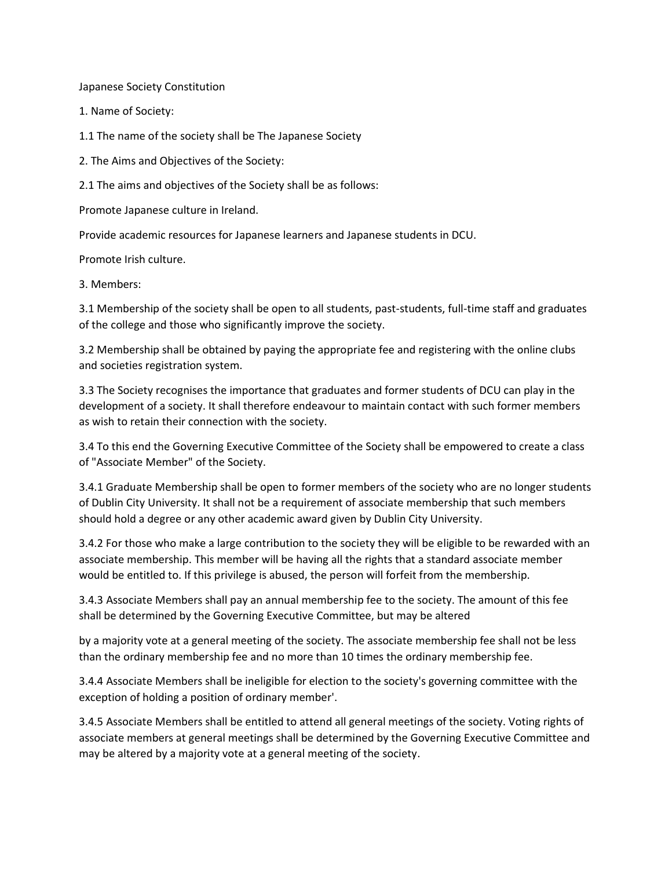Japanese Society Constitution

1. Name of Society:

1.1 The name of the society shall be The Japanese Society

2. The Aims and Objectives of the Society:

2.1 The aims and objectives of the Society shall be as follows:

Promote Japanese culture in Ireland.

Provide academic resources for Japanese learners and Japanese students in DCU.

Promote Irish culture.

3. Members:

3.1 Membership of the society shall be open to all students, past-students, full-time staff and graduates of the college and those who significantly improve the society.

3.2 Membership shall be obtained by paying the appropriate fee and registering with the online clubs and societies registration system.

3.3 The Society recognises the importance that graduates and former students of DCU can play in the development of a society. It shall therefore endeavour to maintain contact with such former members as wish to retain their connection with the society.

3.4 To this end the Governing Executive Committee of the Society shall be empowered to create a class of "Associate Member" of the Society.

3.4.1 Graduate Membership shall be open to former members of the society who are no longer students of Dublin City University. It shall not be a requirement of associate membership that such members should hold a degree or any other academic award given by Dublin City University.

3.4.2 For those who make a large contribution to the society they will be eligible to be rewarded with an associate membership. This member will be having all the rights that a standard associate member would be entitled to. If this privilege is abused, the person will forfeit from the membership.

3.4.3 Associate Members shall pay an annual membership fee to the society. The amount of this fee shall be determined by the Governing Executive Committee, but may be altered

by a majority vote at a general meeting of the society. The associate membership fee shall not be less than the ordinary membership fee and no more than 10 times the ordinary membership fee.

3.4.4 Associate Members shall be ineligible for election to the society's governing committee with the exception of holding a position of ordinary member'.

3.4.5 Associate Members shall be entitled to attend all general meetings of the society. Voting rights of associate members at general meetings shall be determined by the Governing Executive Committee and may be altered by a majority vote at a general meeting of the society.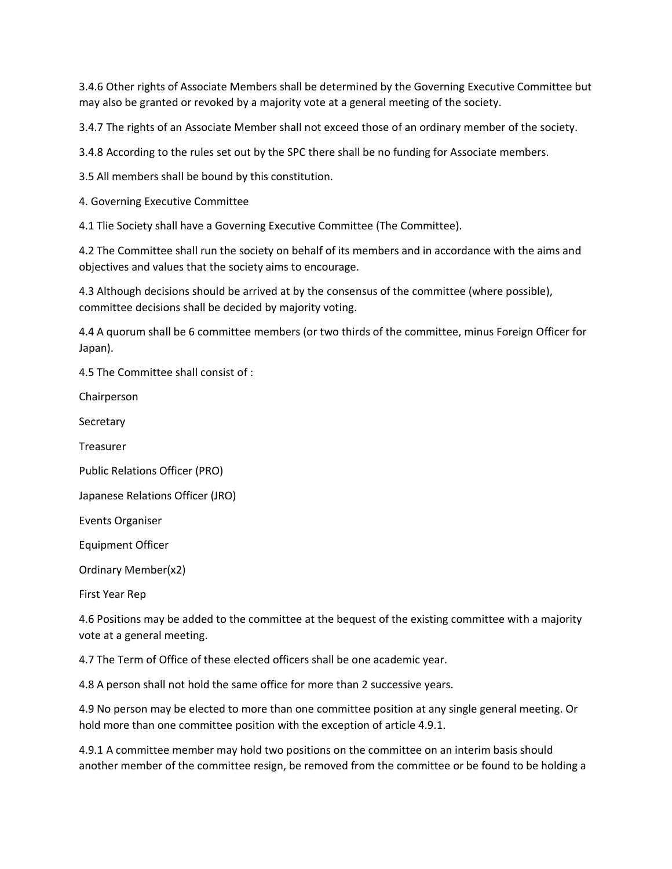3.4.6 Other rights of Associate Members shall be determined by the Governing Executive Committee but may also be granted or revoked by a majority vote at a general meeting of the society.

3.4.7 The rights of an Associate Member shall not exceed those of an ordinary member of the society.

3.4.8 According to the rules set out by the SPC there shall be no funding for Associate members.

3.5 All members shall be bound by this constitution.

4. Governing Executive Committee

4.1 Tlie Society shall have a Governing Executive Committee (The Committee).

4.2 The Committee shall run the society on behalf of its members and in accordance with the aims and objectives and values that the society aims to encourage.

4.3 Although decisions should be arrived at by the consensus of the committee (where possible), committee decisions shall be decided by majority voting.

4.4 A quorum shall be 6 committee members (or two thirds of the committee, minus Foreign Officer for Japan).

4.5 The Committee shall consist of :

Chairperson

**Secretary** 

Treasurer

Public Relations Officer (PRO)

Japanese Relations Officer (JRO)

Events Organiser

Equipment Officer

Ordinary Member(x2)

First Year Rep

4.6 Positions may be added to the committee at the bequest of the existing committee with a majority vote at a general meeting.

4.7 The Term of Office of these elected officers shall be one academic year.

4.8 A person shall not hold the same office for more than 2 successive years.

4.9 No person may be elected to more than one committee position at any single general meeting. Or hold more than one committee position with the exception of article 4.9.1.

4.9.1 A committee member may hold two positions on the committee on an interim basis should another member of the committee resign, be removed from the committee or be found to be holding a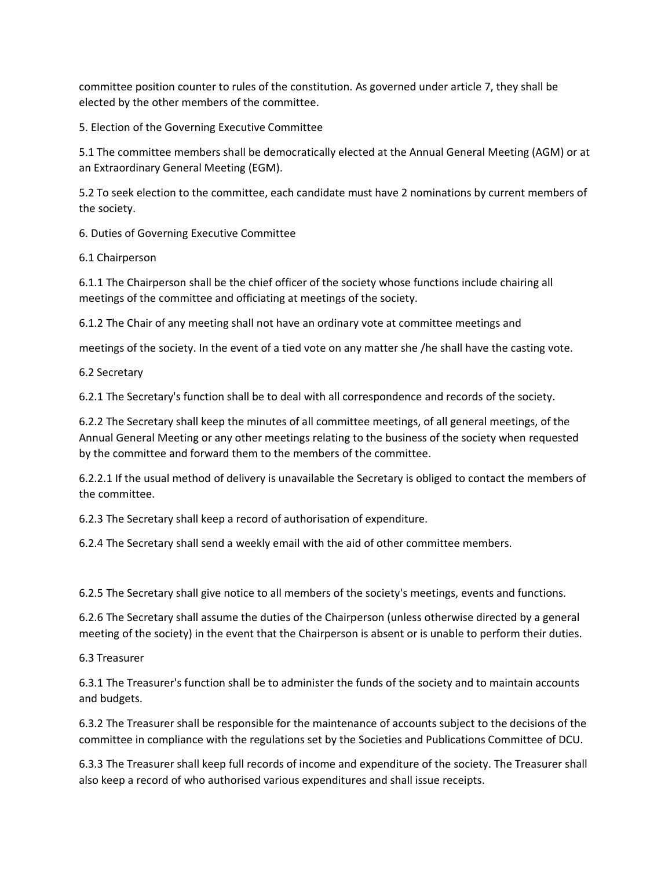committee position counter to rules of the constitution. As governed under article 7, they shall be elected by the other members of the committee.

5. Election of the Governing Executive Committee

5.1 The committee members shall be democratically elected at the Annual General Meeting (AGM) or at an Extraordinary General Meeting (EGM).

5.2 To seek election to the committee, each candidate must have 2 nominations by current members of the society.

6. Duties of Governing Executive Committee

6.1 Chairperson

6.1.1 The Chairperson shall be the chief officer of the society whose functions include chairing all meetings of the committee and officiating at meetings of the society.

6.1.2 The Chair of any meeting shall not have an ordinary vote at committee meetings and

meetings of the society. In the event of a tied vote on any matter she /he shall have the casting vote.

6.2 Secretary

6.2.1 The Secretary's function shall be to deal with all correspondence and records of the society.

6.2.2 The Secretary shall keep the minutes of all committee meetings, of all general meetings, of the Annual General Meeting or any other meetings relating to the business of the society when requested by the committee and forward them to the members of the committee.

6.2.2.1 If the usual method of delivery is unavailable the Secretary is obliged to contact the members of the committee.

6.2.3 The Secretary shall keep a record of authorisation of expenditure.

6.2.4 The Secretary shall send a weekly email with the aid of other committee members.

6.2.5 The Secretary shall give notice to all members of the society's meetings, events and functions.

6.2.6 The Secretary shall assume the duties of the Chairperson (unless otherwise directed by a general meeting of the society) in the event that the Chairperson is absent or is unable to perform their duties.

6.3 Treasurer

6.3.1 The Treasurer's function shall be to administer the funds of the society and to maintain accounts and budgets.

6.3.2 The Treasurer shall be responsible for the maintenance of accounts subject to the decisions of the committee in compliance with the regulations set by the Societies and Publications Committee of DCU.

6.3.3 The Treasurer shall keep full records of income and expenditure of the society. The Treasurer shall also keep a record of who authorised various expenditures and shall issue receipts.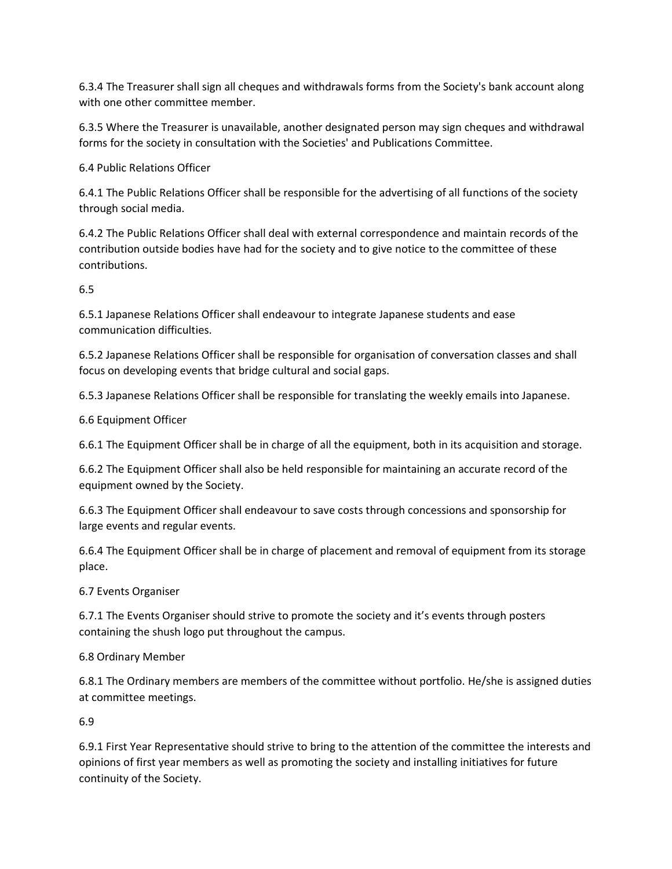6.3.4 The Treasurer shall sign all cheques and withdrawals forms from the Society's bank account along with one other committee member.

6.3.5 Where the Treasurer is unavailable, another designated person may sign cheques and withdrawal forms for the society in consultation with the Societies' and Publications Committee.

6.4 Public Relations Officer

6.4.1 The Public Relations Officer shall be responsible for the advertising of all functions of the society through social media.

6.4.2 The Public Relations Officer shall deal with external correspondence and maintain records of the contribution outside bodies have had for the society and to give notice to the committee of these contributions.

6.5

6.5.1 Japanese Relations Officer shall endeavour to integrate Japanese students and ease communication difficulties.

6.5.2 Japanese Relations Officer shall be responsible for organisation of conversation classes and shall focus on developing events that bridge cultural and social gaps.

6.5.3 Japanese Relations Officer shall be responsible for translating the weekly emails into Japanese.

6.6 Equipment Officer

6.6.1 The Equipment Officer shall be in charge of all the equipment, both in its acquisition and storage.

6.6.2 The Equipment Officer shall also be held responsible for maintaining an accurate record of the equipment owned by the Society.

6.6.3 The Equipment Officer shall endeavour to save costs through concessions and sponsorship for large events and regular events.

6.6.4 The Equipment Officer shall be in charge of placement and removal of equipment from its storage place.

6.7 Events Organiser

6.7.1 The Events Organiser should strive to promote the society and it's events through posters containing the shush logo put throughout the campus.

6.8 Ordinary Member

6.8.1 The Ordinary members are members of the committee without portfolio. He/she is assigned duties at committee meetings.

6.9

6.9.1 First Year Representative should strive to bring to the attention of the committee the interests and opinions of first year members as well as promoting the society and installing initiatives for future continuity of the Society.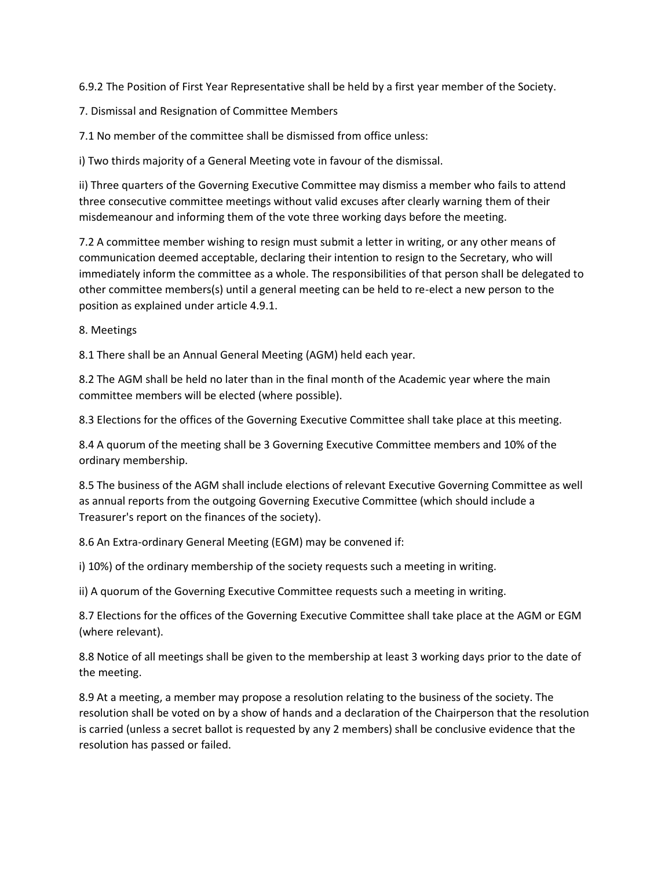6.9.2 The Position of First Year Representative shall be held by a first year member of the Society.

7. Dismissal and Resignation of Committee Members

7.1 No member of the committee shall be dismissed from office unless:

i) Two thirds majority of a General Meeting vote in favour of the dismissal.

ii) Three quarters of the Governing Executive Committee may dismiss a member who fails to attend three consecutive committee meetings without valid excuses after clearly warning them of their misdemeanour and informing them of the vote three working days before the meeting.

7.2 A committee member wishing to resign must submit a letter in writing, or any other means of communication deemed acceptable, declaring their intention to resign to the Secretary, who will immediately inform the committee as a whole. The responsibilities of that person shall be delegated to other committee members(s) until a general meeting can be held to re-elect a new person to the position as explained under article 4.9.1.

8. Meetings

8.1 There shall be an Annual General Meeting (AGM) held each year.

8.2 The AGM shall be held no later than in the final month of the Academic year where the main committee members will be elected (where possible).

8.3 Elections for the offices of the Governing Executive Committee shall take place at this meeting.

8.4 A quorum of the meeting shall be 3 Governing Executive Committee members and 10% of the ordinary membership.

8.5 The business of the AGM shall include elections of relevant Executive Governing Committee as well as annual reports from the outgoing Governing Executive Committee (which should include a Treasurer's report on the finances of the society).

8.6 An Extra-ordinary General Meeting (EGM) may be convened if:

i) 10%) of the ordinary membership of the society requests such a meeting in writing.

ii) A quorum of the Governing Executive Committee requests such a meeting in writing.

8.7 Elections for the offices of the Governing Executive Committee shall take place at the AGM or EGM (where relevant).

8.8 Notice of all meetings shall be given to the membership at least 3 working days prior to the date of the meeting.

8.9 At a meeting, a member may propose a resolution relating to the business of the society. The resolution shall be voted on by a show of hands and a declaration of the Chairperson that the resolution is carried (unless a secret ballot is requested by any 2 members) shall be conclusive evidence that the resolution has passed or failed.